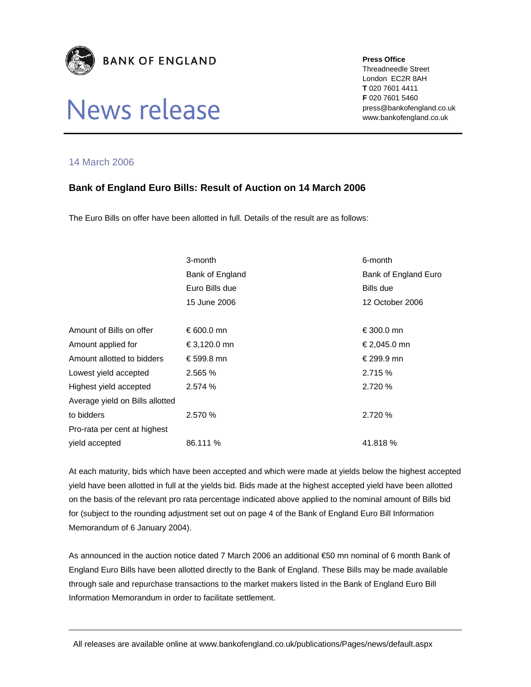

## News release

**Press Office** 

Threadneedle Street London EC2R 8AH **T** 020 7601 4411 **F** 020 7601 5460 press@bankofengland.co.uk www.bankofengland.co.uk

## 14 March 2006

## **Bank of England Euro Bills: Result of Auction on 14 March 2006**

The Euro Bills on offer have been allotted in full. Details of the result are as follows:

| 3-month         | 6-month              |
|-----------------|----------------------|
| Bank of England | Bank of England Euro |
| Euro Bills due  | Bills due            |
| 15 June 2006    | 12 October 2006      |
|                 |                      |
| € 600.0 mn      | €300.0 mn            |
| €3,120.0 mn     | €2,045.0 mn          |
| €599.8 mn       | € 299.9 mn           |
| 2.565 %         | 2.715 %              |
| 2.574 %         | 2.720 %              |
|                 |                      |
| 2.570 %         | 2.720 %              |
|                 |                      |
| 86.111 %        | 41.818 %             |
|                 |                      |

At each maturity, bids which have been accepted and which were made at yields below the highest accepted yield have been allotted in full at the yields bid. Bids made at the highest accepted yield have been allotted on the basis of the relevant pro rata percentage indicated above applied to the nominal amount of Bills bid for (subject to the rounding adjustment set out on page 4 of the Bank of England Euro Bill Information Memorandum of 6 January 2004).

As announced in the auction notice dated 7 March 2006 an additional €50 mn nominal of 6 month Bank of England Euro Bills have been allotted directly to the Bank of England. These Bills may be made available through sale and repurchase transactions to the market makers listed in the Bank of England Euro Bill Information Memorandum in order to facilitate settlement.

All releases are available online at www.bankofengland.co.uk/publications/Pages/news/default.aspx